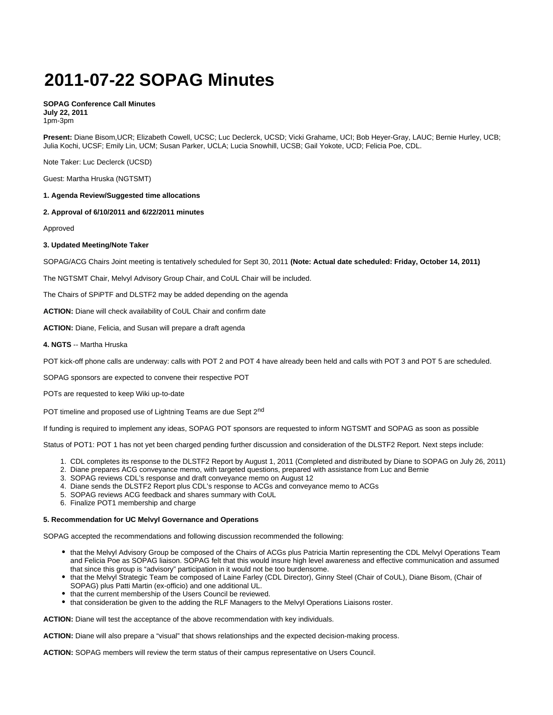# **2011-07-22 SOPAG Minutes**

### **SOPAG Conference Call Minutes July 22, 2011** 1pm-3pm

**Present:** Diane Bisom,UCR; Elizabeth Cowell, UCSC; Luc Declerck, UCSD; Vicki Grahame, UCI; Bob Heyer-Gray, LAUC; Bernie Hurley, UCB; Julia Kochi, UCSF; Emily Lin, UCM; Susan Parker, UCLA; Lucia Snowhill, UCSB; Gail Yokote, UCD; Felicia Poe, CDL.

Note Taker: Luc Declerck (UCSD)

Guest: Martha Hruska (NGTSMT)

# **1. Agenda Review/Suggested time allocations**

# **2. Approval of 6/10/2011 and 6/22/2011 minutes**

Approved

# **3. Updated Meeting/Note Taker**

SOPAG/ACG Chairs Joint meeting is tentatively scheduled for Sept 30, 2011 **(Note: Actual date scheduled: Friday, October 14, 2011)**

The NGTSMT Chair, Melvyl Advisory Group Chair, and CoUL Chair will be included.

The Chairs of SPiPTF and DLSTF2 may be added depending on the agenda

**ACTION:** Diane will check availability of CoUL Chair and confirm date

**ACTION:** Diane, Felicia, and Susan will prepare a draft agenda

# **4. NGTS** -- Martha Hruska

POT kick-off phone calls are underway: calls with POT 2 and POT 4 have already been held and calls with POT 3 and POT 5 are scheduled.

SOPAG sponsors are expected to convene their respective POT

POTs are requested to keep Wiki up-to-date

POT timeline and proposed use of Lightning Teams are due Sept 2<sup>nd</sup>

If funding is required to implement any ideas, SOPAG POT sponsors are requested to inform NGTSMT and SOPAG as soon as possible

Status of POT1: POT 1 has not yet been charged pending further discussion and consideration of the DLSTF2 Report. Next steps include:

- 1. CDL completes its response to the DLSTF2 Report by August 1, 2011 (Completed and distributed by Diane to SOPAG on July 26, 2011)
- 2. Diane prepares ACG conveyance memo, with targeted questions, prepared with assistance from Luc and Bernie
- 3. SOPAG reviews CDL's response and draft conveyance memo on August 12
- 4. Diane sends the DLSTF2 Report plus CDL's response to ACGs and conveyance memo to ACGs
- 5. SOPAG reviews ACG feedback and shares summary with CoUL
- 6. Finalize POT1 membership and charge

#### **5. Recommendation for UC Melvyl Governance and Operations**

SOPAG accepted the recommendations and following discussion recommended the following:

- that the Melvyl Advisory Group be composed of the Chairs of ACGs plus Patricia Martin representing the CDL Melvyl Operations Team and Felicia Poe as SOPAG liaison. SOPAG felt that this would insure high level awareness and effective communication and assumed that since this group is "advisory" participation in it would not be too burdensome.
- that the Melvyl Strategic Team be composed of Laine Farley (CDL Director), Ginny Steel (Chair of CoUL), Diane Bisom, (Chair of SOPAG) plus Patti Martin (ex-officio) and one additional UL.
- that the current membership of the Users Council be reviewed.
- that consideration be given to the adding the RLF Managers to the Melvyl Operations Liaisons roster.

**ACTION:** Diane will test the acceptance of the above recommendation with key individuals.

**ACTION:** Diane will also prepare a "visual" that shows relationships and the expected decision-making process.

**ACTION:** SOPAG members will review the term status of their campus representative on Users Council.